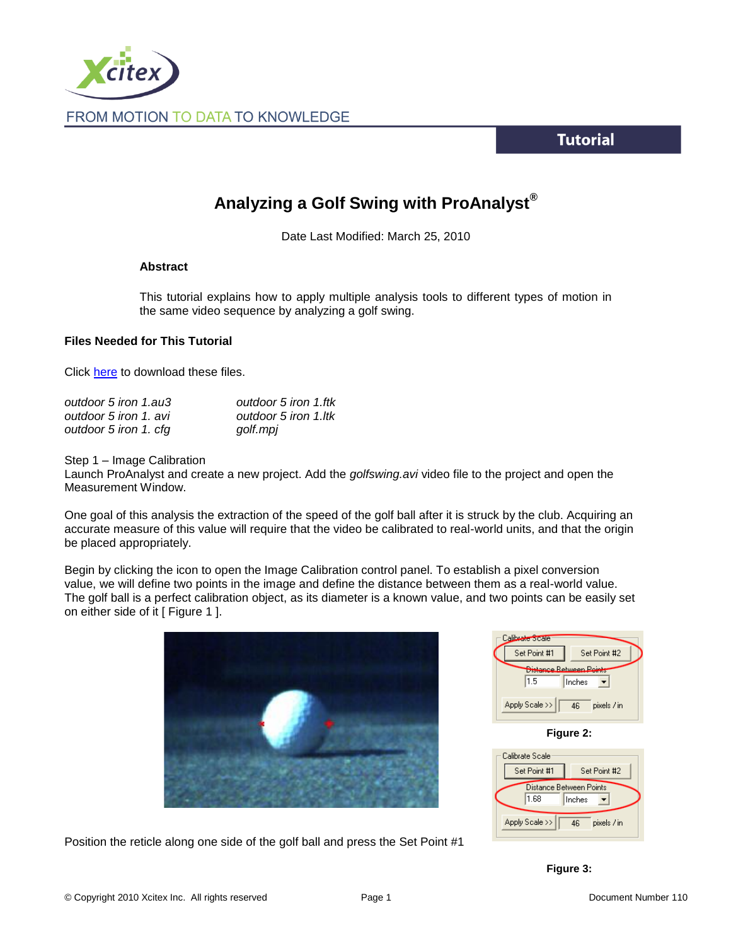

**Tutorial** 

# **Analyzing a Golf Swing with ProAnalyst®**

Date Last Modified: March 25, 2010

### **Abstract**

This tutorial explains how to apply multiple analysis tools to different types of motion in the same video sequence by analyzing a golf swing.

### **Files Needed for This Tutorial**

Click [here](http://www.xcitex.com/Resource%20Center/ProAnalyst/Tutorials/T110%20-%20Video%20files.zip) to download these files.

| outdoor 5 iron 1.au3  | outdoor 5 iron 1.ftk |
|-----------------------|----------------------|
| outdoor 5 iron 1, avi | outdoor 5 iron 1.ltk |
| outdoor 5 iron 1. cfg | golf.mpj             |

Step 1 – Image Calibration

Launch ProAnalyst and create a new project. Add the *golfswing.avi* video file to the project and open the Measurement Window.

One goal of this analysis the extraction of the speed of the golf ball after it is struck by the club. Acquiring an accurate measure of this value will require that the video be calibrated to real-world units, and that the origin be placed appropriately.

Begin by clicking the icon to open the Image Calibration control panel. To establish a pixel conversion value, we will define two points in the image and define the distance between them as a real-world value. The golf ball is a perfect calibration object, as its diameter is a known value, and two points can be easily set on either side of it [ Figure 1 ].



Position the reticle along one side of the golf ball and press the Set Point #1

| Calibrate Scale                                            |                   |  |
|------------------------------------------------------------|-------------------|--|
| Set Point #1                                               | Set Point #2      |  |
| <del>listance Retween <b>Points</b></del><br>1.5<br>Inches |                   |  |
| Apply Scale >>                                             | pixels / in<br>46 |  |
|                                                            |                   |  |

**Figure 2:**

|                                           | Calibrate Scale |                   |
|-------------------------------------------|-----------------|-------------------|
|                                           | Set Point #1    | Set Point #2      |
| Distance Between Points<br>1.68<br>Inches |                 |                   |
|                                           | Apply Scale >>  | pixels / in<br>46 |

**Figure 3:**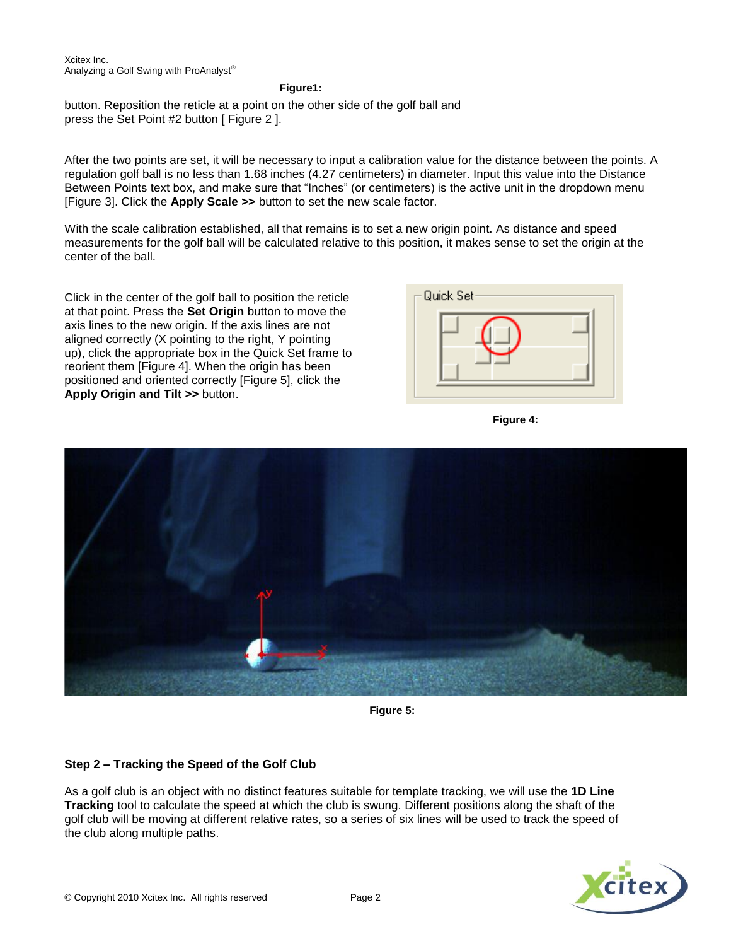**Figure1:**

button. Reposition the reticle at a point on the other side of the golf ball and press the Set Point #2 button [ Figure 2 ].

After the two points are set, it will be necessary to input a calibration value for the distance between the points. A regulation golf ball is no less than 1.68 inches (4.27 centimeters) in diameter. Input this value into the Distance Between Points text box, and make sure that "Inches" (or centimeters) is the active unit in the dropdown menu [Figure 3]. Click the **Apply Scale >>** button to set the new scale factor.

With the scale calibration established, all that remains is to set a new origin point. As distance and speed measurements for the golf ball will be calculated relative to this position, it makes sense to set the origin at the center of the ball.

Click in the center of the golf ball to position the reticle at that point. Press the **Set Origin** button to move the axis lines to the new origin. If the axis lines are not aligned correctly (X pointing to the right, Y pointing up), click the appropriate box in the Quick Set frame to reorient them [Figure 4]. When the origin has been positioned and oriented correctly [Figure 5], click the **Apply Origin and Tilt >>** button.







**Figure 5:**

# **Step 2 – Tracking the Speed of the Golf Club**

As a golf club is an object with no distinct features suitable for template tracking, we will use the **1D Line Tracking** tool to calculate the speed at which the club is swung. Different positions along the shaft of the golf club will be moving at different relative rates, so a series of six lines will be used to track the speed of the club along multiple paths.

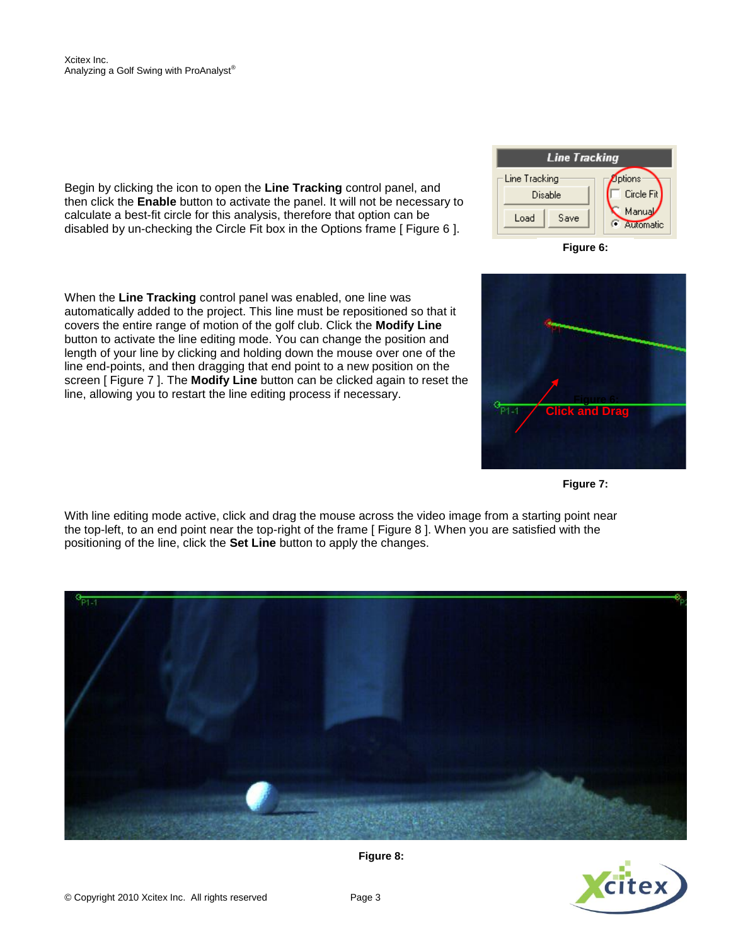Begin by clicking the icon to open the **Line Tracking** control panel, and then click the **Enable** button to activate the panel. It will not be necessary to calculate a best-fit circle for this analysis, therefore that option can be disabled by un-checking the Circle Fit box in the Options frame [ Figure 6 ].

When the **Line Tracking** control panel was enabled, one line was automatically added to the project. This line must be repositioned so that it covers the entire range of motion of the golf club. Click the **Modify Line** button to activate the line editing mode. You can change the position and length of your line by clicking and holding down the mouse over one of the line end-points, and then dragging that end point to a new position on the screen [ Figure 7 ]. The **Modify Line** button can be clicked again to reset the line, allowing you to restart the line editing process if necessary.

With line editing mode active, click and drag the mouse across the video image from a starting point near the top-left, to an end point near the top-right of the frame [ Figure 8 ]. When you are satisfied with the positioning of the line, click the **Set Line** button to apply the changes.







**Figure 6:**



**Figure 7:**

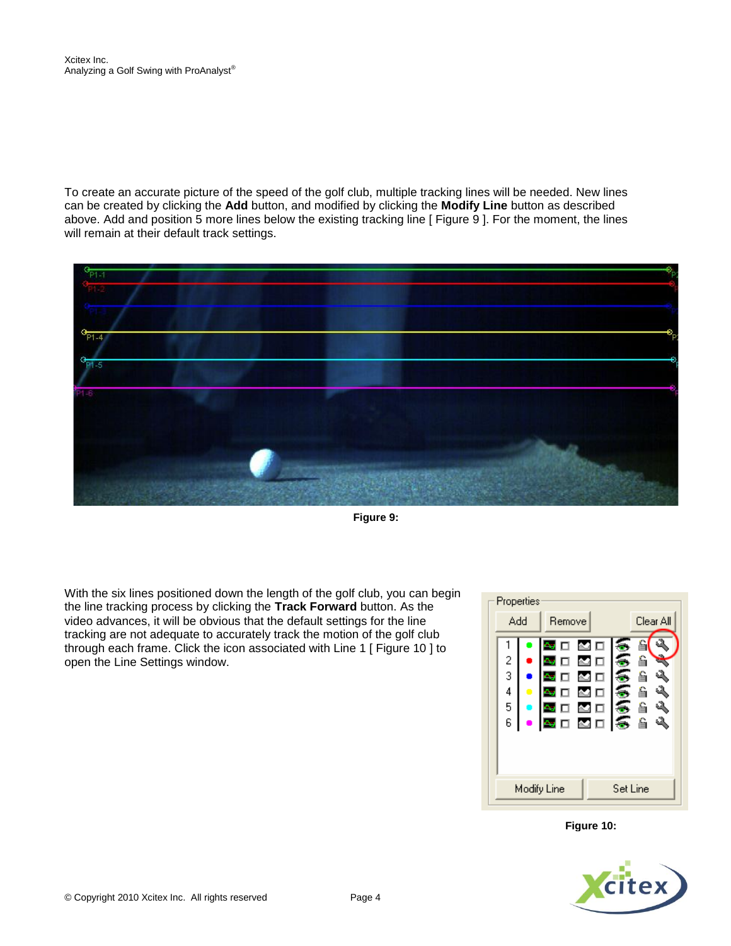To create an accurate picture of the speed of the golf club, multiple tracking lines will be needed. New lines can be created by clicking the **Add** button, and modified by clicking the **Modify Line** button as described above. Add and position 5 more lines below the existing tracking line [ Figure 9 ]. For the moment, the lines will remain at their default track settings.



**Figure 9:**

With the six lines positioned down the length of the golf club, you can begin the line tracking process by clicking the **Track Forward** button. As the video advances, it will be obvious that the default settings for the line tracking are not adequate to accurately track the motion of the golf club through each frame. Click the icon associated with Line 1 [ Figure 10 ] to open the Line Settings window.



**Figure 10:**

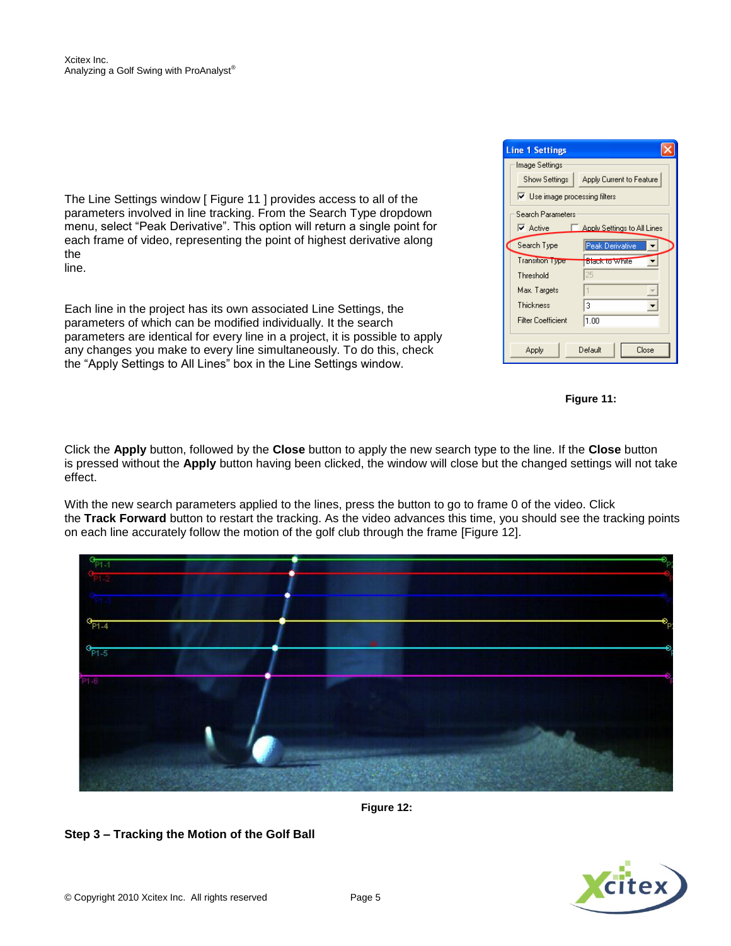The Line Settings window [ Figure 11 ] provides access to all of the parameters involved in line tracking. From the Search Type dropdown menu, select "Peak Derivative". This option will return a single point for each frame of video, representing the point of highest derivative along the line.

Each line in the project has its own associated Line Settings, the parameters of which can be modified individually. It the search parameters are identical for every line in a project, it is possible to apply any changes you make to every line simultaneously. To do this, check the "Apply Settings to All Lines" box in the Line Settings window.

| <b>Line 1 Settings</b>                       |                             |  |
|----------------------------------------------|-----------------------------|--|
| Image Settings                               |                             |  |
| Show Settings                                | Apply Current to Feature    |  |
| $\triangledown$ Use image processing filters |                             |  |
| Search Parameters                            |                             |  |
| $\overline{\triangledown}$ Active            | Apply Settings to All Lines |  |
| Search Type                                  | Peak Derivative             |  |
| <b>Transition Type</b>                       | Black to White              |  |
| Threshold                                    | 25                          |  |
| Max. Targets                                 |                             |  |
| Thickness                                    | 3                           |  |
| <b>Filter Coefficient</b>                    | 1.00                        |  |
|                                              |                             |  |
| Default<br>Close<br>Apply                    |                             |  |



Click the **Apply** button, followed by the **Close** button to apply the new search type to the line. If the **Close** button is pressed without the **Apply** button having been clicked, the window will close but the changed settings will not take effect.

With the new search parameters applied to the lines, press the button to go to frame 0 of the video. Click the **Track Forward** button to restart the tracking. As the video advances this time, you should see the tracking points on each line accurately follow the motion of the golf club through the frame [Figure 12].



**Figure 12:**

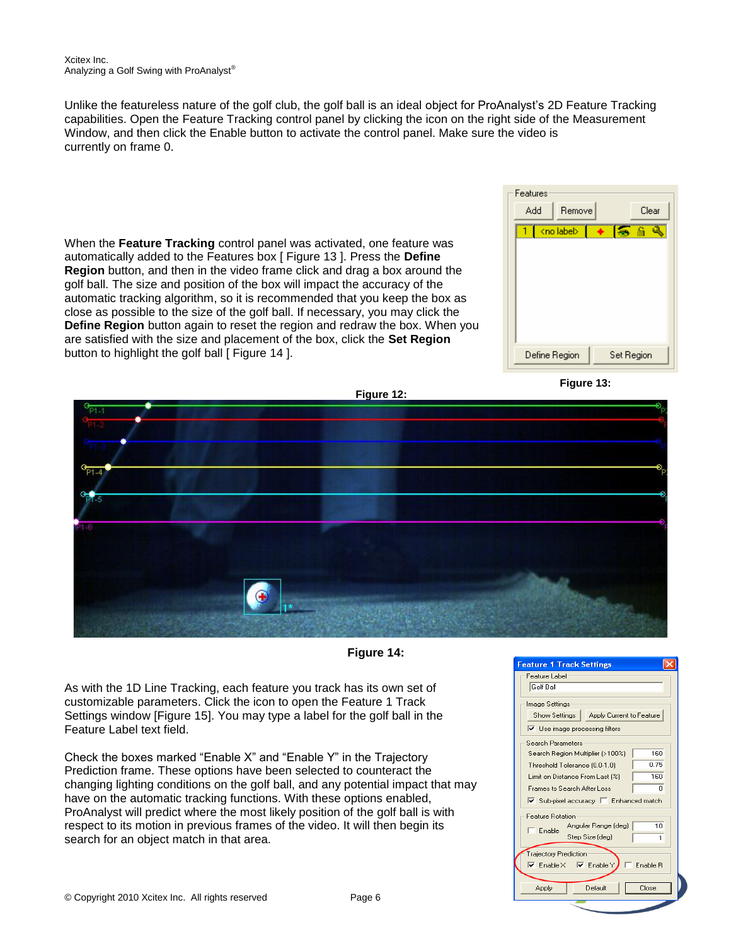Unlike the featureless nature of the golf club, the golf ball is an ideal object for ProAnalyst's 2D Feature Tracking capabilities. Open the Feature Tracking control panel by clicking the icon on the right side of the Measurement Window, and then click the Enable button to activate the control panel. Make sure the video is currently on frame 0.

When the **Feature Tracking** control panel was activated, one feature was automatically added to the Features box [ Figure 13 ]. Press the **Define Region** button, and then in the video frame click and drag a box around the golf ball. The size and position of the box will impact the accuracy of the automatic tracking algorithm, so it is recommended that you keep the box as close as possible to the size of the golf ball. If necessary, you may click the **Define Region** button again to reset the region and redraw the box. When you are satisfied with the size and placement of the box, click the **Set Region** button to highlight the golf ball [ Figure 14 ].







**Figure 14:**

As with the 1D Line Tracking, each feature you track has its own set of customizable parameters. Click the icon to open the Feature 1 Track Settings window [Figure 15]. You may type a label for the golf ball in the Feature Label text field.

Check the boxes marked "Enable X" and "Enable Y" in the Trajectory Prediction frame. These options have been selected to counteract the changing lighting conditions on the golf ball, and any potential impact that may have on the automatic tracking functions. With these options enabled, ProAnalyst will predict where the most likely position of the golf ball is with respect to its motion in previous frames of the video. It will then begin its search for an object match in that area.

| <b>Feature 1 Track Settings</b>                                          |  |  |  |
|--------------------------------------------------------------------------|--|--|--|
| Feature Label:                                                           |  |  |  |
| Golf Ball                                                                |  |  |  |
|                                                                          |  |  |  |
| Image Settings                                                           |  |  |  |
| Show Settings<br>Apply Current to Feature                                |  |  |  |
| $\triangledown$ Use image processing filters                             |  |  |  |
| Search Parameters:                                                       |  |  |  |
| 160<br>Search Region Multiplier (>100%)                                  |  |  |  |
| 0.75                                                                     |  |  |  |
| Threshold Tolerance (0.0-1.0)                                            |  |  |  |
| 160<br>Limit on Distance From Last [%]                                   |  |  |  |
| Frames to Search After Loss<br>n                                         |  |  |  |
| $\triangledown$ Sub-pixel accuracy $\triangledown$ Enhanced match        |  |  |  |
| <b>Feature Botation</b>                                                  |  |  |  |
| 10<br>Angular Range (deg)                                                |  |  |  |
| Enable<br>Step Size (deg)<br>1                                           |  |  |  |
|                                                                          |  |  |  |
| <b>Trajectory Prediction</b>                                             |  |  |  |
| $\overline{\vee}$ Enable $\times$ $\overline{\vee}$ Enable Y<br>Fnable B |  |  |  |
|                                                                          |  |  |  |
| Close<br>Default<br>Apply                                                |  |  |  |
|                                                                          |  |  |  |
|                                                                          |  |  |  |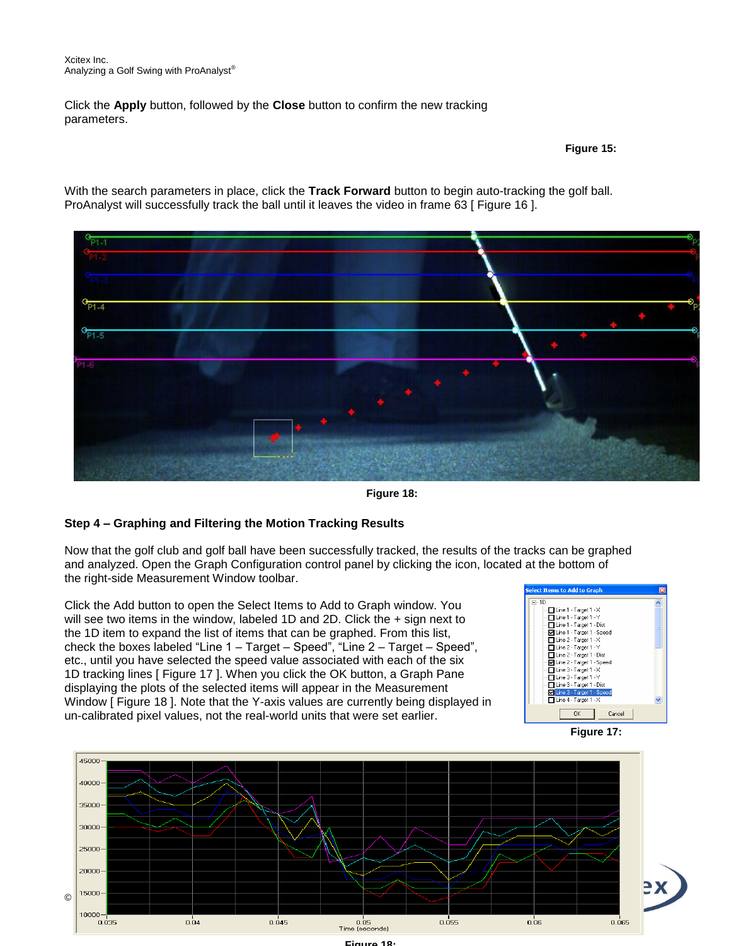Click the **Apply** button, followed by the **Close** button to confirm the new tracking parameters.

#### **Figure 15:**

With the search parameters in place, click the **Track Forward** button to begin auto-tracking the golf ball. ProAnalyst will successfully track the ball until it leaves the video in frame 63 [ Figure 16 ].



**Figure 18:**

# **Step 4 – Graphing and Filtering the Motion Tracking Results**

Now that the golf club and golf ball have been successfully tracked, the results of the tracks can be graphed and analyzed. Open the Graph Configuration control panel by clicking the icon, located at the bottom of the right-side Measurement Window toolbar.

Click the Add button to open the Select Items to Add to Graph window. You will see two items in the window, labeled 1D and 2D. Click the  $+$  sign next to the 1D item to expand the list of items that can be graphed. From this list, check the boxes labeled "Line 1 – Target – Speed", "Line 2 – Target – Speed", etc., until you have selected the speed value associated with each of the six 1D tracking lines [ Figure 17 ]. When you click the OK button, a Graph Pane displaying the plots of the selected items will appear in the Measurement Window [ Figure 18 ]. Note that the Y-axis values are currently being displayed in un-calibrated pixel values, not the real-world units that were set earlier.







**Figure 18:**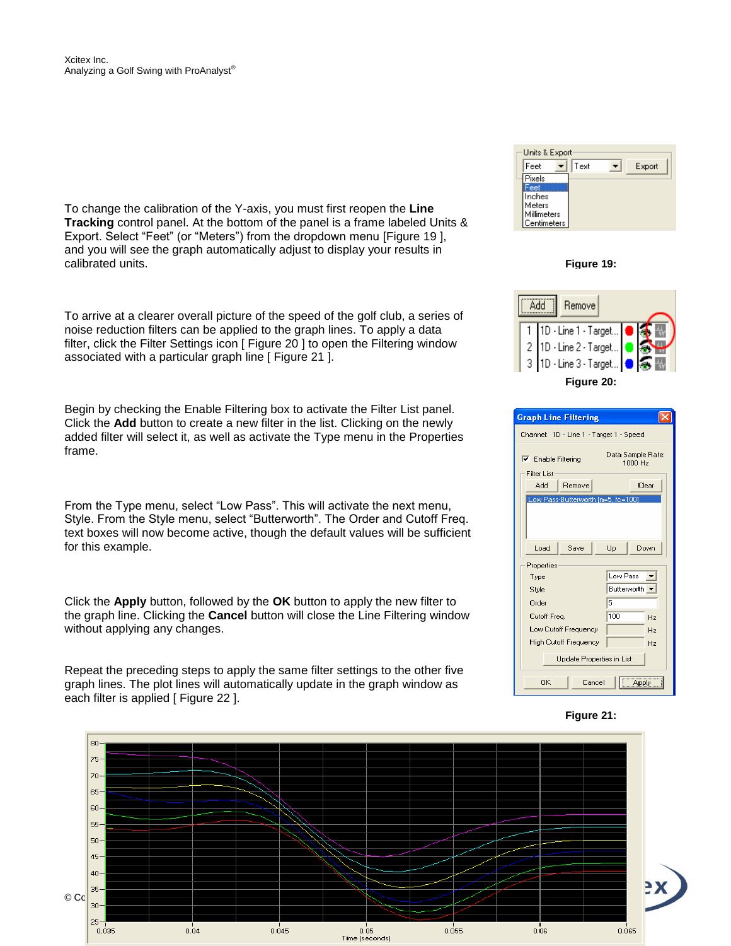To change the calibration of the Y-axis, you must first reopen the **Line Tracking** control panel. At the bottom of the panel is a frame labeled Units & Export. Select "Feet" (or "Meters") from the dropdown menu [Figure 19 ], and you will see the graph automatically adjust to display your results in calibrated units.

To arrive at a clearer overall picture of the speed of the golf club, a series of noise reduction filters can be applied to the graph lines. To apply a data filter, click the Filter Settings icon [ Figure 20 ] to open the Filtering window associated with a particular graph line [ Figure 21 ].

Begin by checking the Enable Filtering box to activate the Filter List panel. Click the **Add** button to create a new filter in the list. Clicking on the newly added filter will select it, as well as activate the Type menu in the Properties frame.

From the Type menu, select "Low Pass". This will activate the next menu, Style. From the Style menu, select "Butterworth". The Order and Cutoff Freq. text boxes will now become active, though the default values will be sufficient for this example.

Click the **Apply** button, followed by the **OK** button to apply the new filter to the graph line. Clicking the **Cancel** button will close the Line Filtering window without applying any changes.

Repeat the preceding steps to apply the same filter settings to the other five graph lines. The plot lines will automatically update in the graph window as each filter is applied [ Figure 22 ].







| <b>Graph Line Filtering</b>                     |                              |  |  |
|-------------------------------------------------|------------------------------|--|--|
| Channel: 1D - Line 1 - Target 1 - Speed         |                              |  |  |
| $\nabla$ Enable Filtering<br><b>Filter List</b> | Data Sample Rate:<br>1000 Hz |  |  |
| Add<br>Remove                                   | Clear                        |  |  |
| Low Pass-Butterworth [n=5, fc=100]              |                              |  |  |
|                                                 |                              |  |  |
| Load<br>Save                                    | Down<br>Up                   |  |  |
| Properties                                      |                              |  |  |
| Type                                            | Low Pass                     |  |  |
| Style                                           | Butterworth +                |  |  |
| Order                                           | 5                            |  |  |
| Cutoff Freg.                                    | 100<br>Hz                    |  |  |
| Low Cutoff Frequency                            | Hz                           |  |  |
| <b>High Cutoff Frequency</b>                    | H <sub>z</sub>               |  |  |
| <b>Update Properties in List</b>                |                              |  |  |
| ПK<br>Cancel<br>Apply                           |                              |  |  |



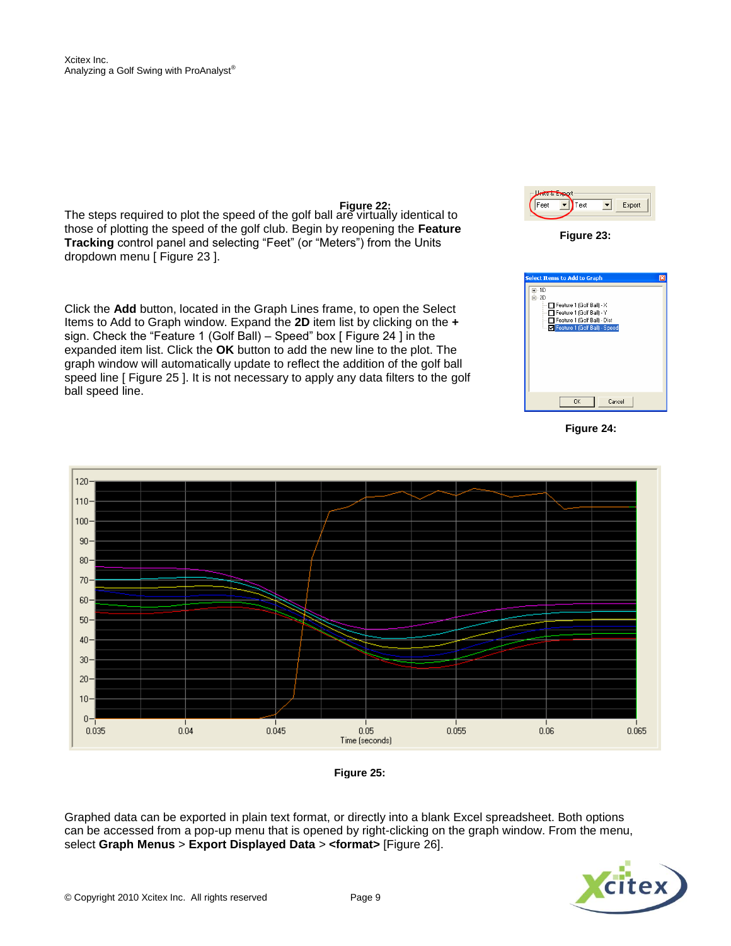The steps required to plot the speed of the golf ball are virtually identical to those of plotting the speed of the golf club. Begin by reopening the **Feature Tracking** control panel and selecting "Feet" (or "Meters") from the Units dropdown menu [ Figure 23 ]. **Figure 22:**

Click the **Add** button, located in the Graph Lines frame, to open the Select Items to Add to Graph window. Expand the **2D** item list by clicking on the **+** sign. Check the "Feature 1 (Golf Ball) – Speed" box [ Figure 24 ] in the expanded item list. Click the **OK** button to add the new line to the plot. The graph window will automatically update to reflect the addition of the golf ball speed line [ Figure 25 ]. It is not necessary to apply any data filters to the golf ball speed line.







**Figure 24:**



**Figure 25:**

Graphed data can be exported in plain text format, or directly into a blank Excel spreadsheet. Both options can be accessed from a pop-up menu that is opened by right-clicking on the graph window. From the menu, select **Graph Menus** > **Export Displayed Data** > **<format>** [Figure 26].